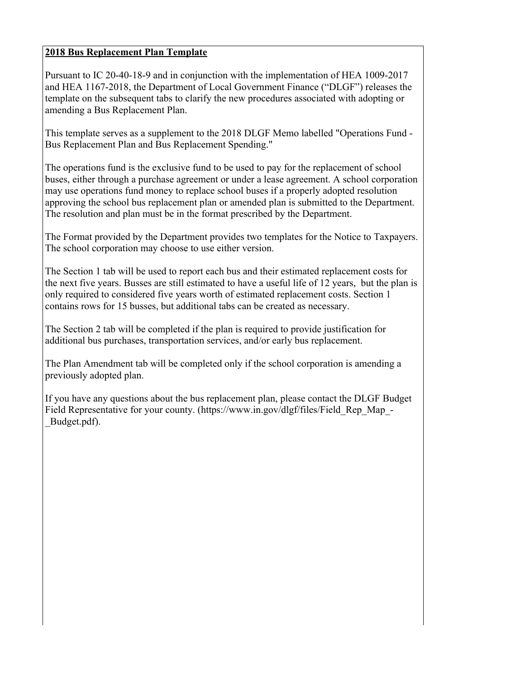## **2018 Bus Replacement Plan Template**

Pursuant to IC 20-40-18-9 and in conjunction with the implementation of HEA 1009-2017 and HEA 1167-2018, the Department of Local Government Finance ("DLGF") releases the template on the subsequent tabs to clarify the new procedures associated with adopting or amending a Bus Replacement Plan.

This template serves as a supplement to the 2018 DLGF Memo labelled "Operations Fund - Bus Replacement Plan and Bus Replacement Spending."

The operations fund is the exclusive fund to be used to pay for the replacement of school buses, either through a purchase agreement or under a lease agreement. A school corporation may use operations fund money to replace school buses if a properly adopted resolution approving the school bus replacement plan or amended plan is submitted to the Department. The resolution and plan must be in the format prescribed by the Department.

The Format provided by the Department provides two templates for the Notice to Taxpayers. The school corporation may choose to use either version.

The Section 1 tab will be used to report each bus and their estimated replacement costs for the next five years. Busses are still estimated to have a useful life of 12 years, but the plan is only required to considered five years worth of estimated replacement costs. Section 1 contains rows for 15 busses, but additional tabs can be created as necessary.

The Section 2 tab will be completed if the plan is required to provide justification for additional bus purchases, transportation services, and/or early bus replacement.

The Plan Amendment tab will be completed only if the school corporation is amending a previously adopted plan.

If you have any questions about the bus replacement plan, please contact the DLGF Budget Field Representative for your county. (https://www.in.gov/dlgf/files/Field Rep Map -\_Budget.pdf).